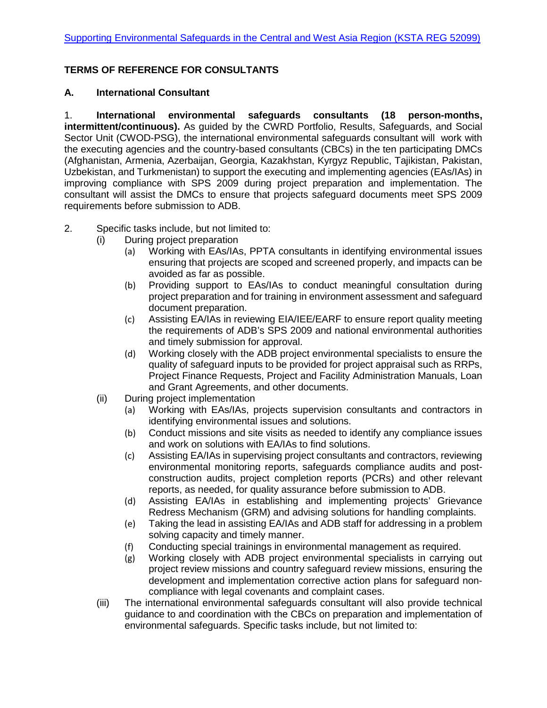## **TERMS OF REFERENCE FOR CONSULTANTS**

## **A. International Consultant**

1. **International environmental safeguards consultants (18 person-months, intermittent/continuous).** As guided by the CWRD Portfolio, Results, Safeguards, and Social Sector Unit (CWOD-PSG), the international environmental safeguards consultant will work with the executing agencies and the country-based consultants (CBCs) in the ten participating DMCs (Afghanistan, Armenia, Azerbaijan, Georgia, Kazakhstan, Kyrgyz Republic, Tajikistan, Pakistan, Uzbekistan, and Turkmenistan) to support the executing and implementing agencies (EAs/IAs) in improving compliance with SPS 2009 during project preparation and implementation. The consultant will assist the DMCs to ensure that projects safeguard documents meet SPS 2009 requirements before submission to ADB.

- 2. Specific tasks include, but not limited to:
	- (i) During project preparation
		- (a) Working with EAs/IAs, PPTA consultants in identifying environmental issues ensuring that projects are scoped and screened properly, and impacts can be avoided as far as possible.
		- (b) Providing support to EAs/IAs to conduct meaningful consultation during project preparation and for training in environment assessment and safeguard document preparation.
		- (c) Assisting EA/IAs in reviewing EIA/IEE/EARF to ensure report quality meeting the requirements of ADB's SPS 2009 and national environmental authorities and timely submission for approval.
		- (d) Working closely with the ADB project environmental specialists to ensure the quality of safeguard inputs to be provided for project appraisal such as RRPs, Project Finance Requests, Project and Facility Administration Manuals, Loan and Grant Agreements, and other documents.
	- (ii) During project implementation
		- (a) Working with EAs/IAs, projects supervision consultants and contractors in identifying environmental issues and solutions.
		- (b) Conduct missions and site visits as needed to identify any compliance issues and work on solutions with EA/IAs to find solutions.
		- (c) Assisting EA/IAs in supervising project consultants and contractors, reviewing environmental monitoring reports, safeguards compliance audits and postconstruction audits, project completion reports (PCRs) and other relevant reports, as needed, for quality assurance before submission to ADB.
		- (d) Assisting EA/IAs in establishing and implementing projects' Grievance Redress Mechanism (GRM) and advising solutions for handling complaints.
		- (e) Taking the lead in assisting EA/IAs and ADB staff for addressing in a problem solving capacity and timely manner.
		- (f) Conducting special trainings in environmental management as required.
		- (g) Working closely with ADB project environmental specialists in carrying out project review missions and country safeguard review missions, ensuring the development and implementation corrective action plans for safeguard noncompliance with legal covenants and complaint cases.
	- (iii) The international environmental safeguards consultant will also provide technical guidance to and coordination with the CBCs on preparation and implementation of environmental safeguards. Specific tasks include, but not limited to: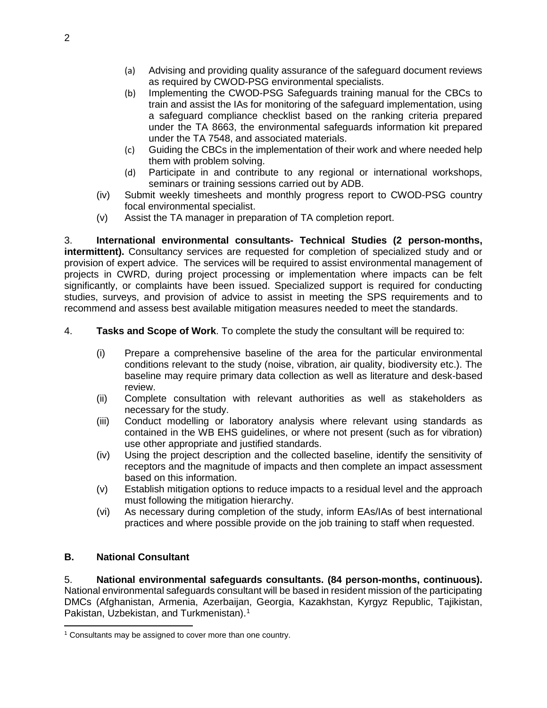- (a) Advising and providing quality assurance of the safeguard document reviews as required by CWOD-PSG environmental specialists.
- (b) Implementing the CWOD-PSG Safeguards training manual for the CBCs to train and assist the IAs for monitoring of the safeguard implementation, using a safeguard compliance checklist based on the ranking criteria prepared under the TA 8663, the environmental safeguards information kit prepared under the TA 7548, and associated materials.
- (c) Guiding the CBCs in the implementation of their work and where needed help them with problem solving.
- (d) Participate in and contribute to any regional or international workshops, seminars or training sessions carried out by ADB.
- (iv) Submit weekly timesheets and monthly progress report to CWOD-PSG country focal environmental specialist.
- (v) Assist the TA manager in preparation of TA completion report.

3. **International environmental consultants- Technical Studies (2 person-months, intermittent).** Consultancy services are requested for completion of specialized study and or provision of expert advice. The services will be required to assist environmental management of projects in CWRD, during project processing or implementation where impacts can be felt significantly, or complaints have been issued. Specialized support is required for conducting studies, surveys, and provision of advice to assist in meeting the SPS requirements and to recommend and assess best available mitigation measures needed to meet the standards.

- 4. **Tasks and Scope of Work**. To complete the study the consultant will be required to:
	- (i) Prepare a comprehensive baseline of the area for the particular environmental conditions relevant to the study (noise, vibration, air quality, biodiversity etc.). The baseline may require primary data collection as well as literature and desk-based review.
	- (ii) Complete consultation with relevant authorities as well as stakeholders as necessary for the study.
	- (iii) Conduct modelling or laboratory analysis where relevant using standards as contained in the WB EHS guidelines, or where not present (such as for vibration) use other appropriate and justified standards.
	- (iv) Using the project description and the collected baseline, identify the sensitivity of receptors and the magnitude of impacts and then complete an impact assessment based on this information.
	- (v) Establish mitigation options to reduce impacts to a residual level and the approach must following the mitigation hierarchy.
	- (vi) As necessary during completion of the study, inform EAs/IAs of best international practices and where possible provide on the job training to staff when requested.

## **B. National Consultant**

5. **National environmental safeguards consultants. (84 person-months, continuous).** National environmental safeguards consultant will be based in resident mission of the participating DMCs (Afghanistan, Armenia, Azerbaijan, Georgia, Kazakhstan, Kyrgyz Republic, Tajikistan, Pakistan, Uzbekistan, and Turkmenistan). [1](#page-1-0)

<span id="page-1-0"></span><sup>&</sup>lt;sup>1</sup> Consultants may be assigned to cover more than one country.